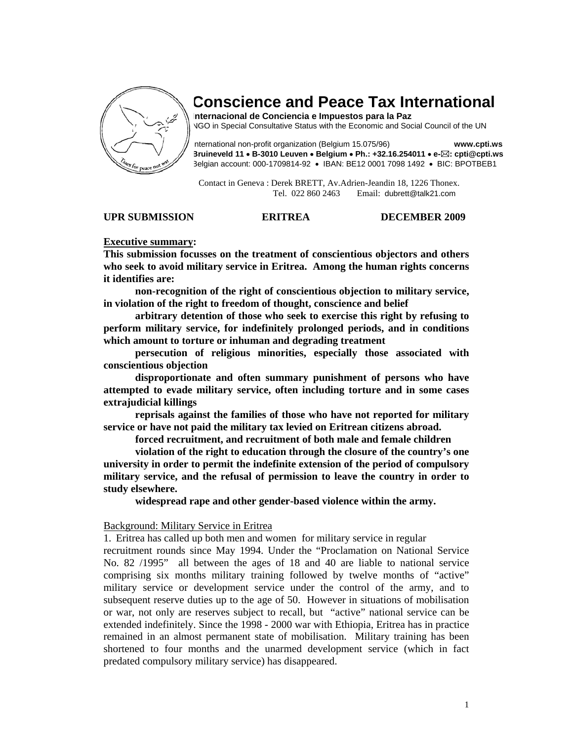

# **Conscience and Peace Tax International**

**Internacional de Conciencia e Impuestos para la Paz**  NGO in Special Consultative Status with the Economic and Social Council of the UN

International non-profit organization (Belgium 15.075/96) **www.cpti.ws Bruineveld 11** • **B-3010 Leuven** • **Belgium** • **Ph.: +32.16.254011** • **e- : cpti@cpti.ws**  Belgian account: 000-1709814-92 • IBAN: BE12 0001 7098 1492 • BIC: BPOTBEB1

 Contact in Geneva : Derek BRETT, Av.Adrien-Jeandin 18, 1226 Thonex. Tel. 022 860 2463 Email: dubrett@talk21.com

#### **UPR SUBMISSION ERITREA DECEMBER 2009**

# **Executive summary:**

**This submission focusses on the treatment of conscientious objectors and others who seek to avoid military service in Eritrea. Among the human rights concerns it identifies are:** 

 **non-recognition of the right of conscientious objection to military service, in violation of the right to freedom of thought, conscience and belief** 

 **arbitrary detention of those who seek to exercise this right by refusing to perform military service, for indefinitely prolonged periods, and in conditions which amount to torture or inhuman and degrading treatment** 

 **persecution of religious minorities, especially those associated with conscientious objection** 

 **disproportionate and often summary punishment of persons who have attempted to evade military service, often including torture and in some cases extrajudicial killings** 

 **reprisals against the families of those who have not reported for military service or have not paid the military tax levied on Eritrean citizens abroad.** 

 **forced recruitment, and recruitment of both male and female children** 

 **violation of the right to education through the closure of the country's one university in order to permit the indefinite extension of the period of compulsory military service, and the refusal of permission to leave the country in order to study elsewhere.** 

 **widespread rape and other gender-based violence within the army.** 

#### Background: Military Service in Eritrea

1. Eritrea has called up both men and women for military service in regular

recruitment rounds since May 1994. Under the "Proclamation on National Service No. 82 /1995" all between the ages of 18 and 40 are liable to national service comprising six months military training followed by twelve months of "active" military service or development service under the control of the army, and to subsequent reserve duties up to the age of 50. However in situations of mobilisation or war, not only are reserves subject to recall, but "active" national service can be extended indefinitely. Since the 1998 - 2000 war with Ethiopia, Eritrea has in practice remained in an almost permanent state of mobilisation. Military training has been shortened to four months and the unarmed development service (which in fact predated compulsory military service) has disappeared.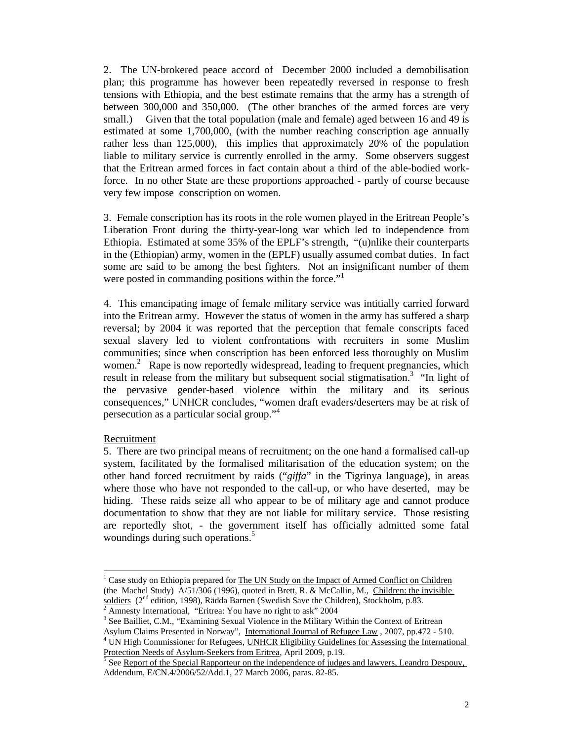2. The UN-brokered peace accord of December 2000 included a demobilisation plan; this programme has however been repeatedly reversed in response to fresh tensions with Ethiopia, and the best estimate remains that the army has a strength of between 300,000 and 350,000. (The other branches of the armed forces are very small.) Given that the total population (male and female) aged between 16 and 49 is estimated at some 1,700,000, (with the number reaching conscription age annually rather less than 125,000), this implies that approximately 20% of the population liable to military service is currently enrolled in the army. Some observers suggest that the Eritrean armed forces in fact contain about a third of the able-bodied workforce. In no other State are these proportions approached - partly of course because very few impose conscription on women.

3. Female conscription has its roots in the role women played in the Eritrean People's Liberation Front during the thirty-year-long war which led to independence from Ethiopia. Estimated at some 35% of the EPLF's strength, "(u)nlike their counterparts in the (Ethiopian) army, women in the (EPLF) usually assumed combat duties. In fact some are said to be among the best fighters. Not an insignificant number of them were posted in commanding positions within the force."<sup>1</sup>

4. This emancipating image of female military service was intitially carried forward into the Eritrean army. However the status of women in the army has suffered a sharp reversal; by 2004 it was reported that the perception that female conscripts faced sexual slavery led to violent confrontations with recruiters in some Muslim communities; since when conscription has been enforced less thoroughly on Muslim women.<sup>2</sup> Rape is now reportedly widespread, leading to frequent pregnancies, which result in release from the military but subsequent social stigmatisation.<sup>3</sup> "In light of the pervasive gender-based violence within the military and its serious consequences," UNHCR concludes, "women draft evaders/deserters may be at risk of persecution as a particular social group."<sup>4</sup>

# Recruitment

 $\overline{a}$ 

5. There are two principal means of recruitment; on the one hand a formalised call-up system, facilitated by the formalised militarisation of the education system; on the other hand forced recruitment by raids ("*giffa*" in the Tigrinya language), in areas where those who have not responded to the call-up, or who have deserted, may be hiding. These raids seize all who appear to be of military age and cannot produce documentation to show that they are not liable for military service. Those resisting are reportedly shot, - the government itself has officially admitted some fatal woundings during such operations.<sup>5</sup>

<sup>&</sup>lt;sup>1</sup> Case study on Ethiopia prepared for The UN Study on the Impact of Armed Conflict on Children (the Machel Study) A/51/306 (1996), quoted in Brett, R. & McCallin, M., Children: the invisible soldiers (2<sup>nd</sup> edition, 1998), Rädda Barnen (Swedish Save the Children), Stockholm, p.83.

Amnesty International, "Eritrea: You have no right to ask" 2004

<sup>&</sup>lt;sup>3</sup> See Bailliet, C.M., "Examining Sexual Violence in the Military Within the Context of Eritrean Asylum Claims Presented in Norway", International Journal of Refugee Law , 2007, pp.472 - 510. 4

<sup>&</sup>lt;sup>4</sup> UN High Commissioner for Refugees, UNHCR Eligibility Guidelines for Assessing the International

Protection Needs of Asylum-Seekers from Eritrea, April 2009, p.19.<br><sup>5</sup> See <u>Report of the Special Rapporteur on the independence of judges and lawyers, Leandro Despouy,</u> Addendum, E/CN.4/2006/52/Add.1, 27 March 2006, paras. 82-85.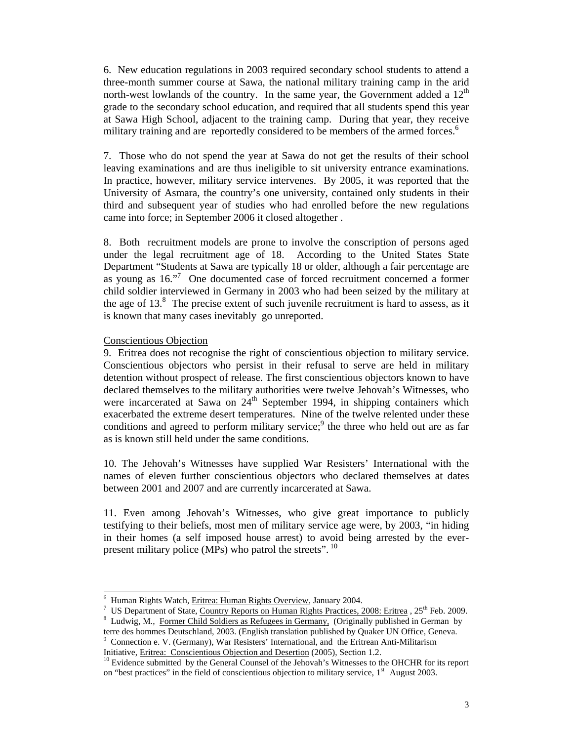6. New education regulations in 2003 required secondary school students to attend a three-month summer course at Sawa, the national military training camp in the arid north-west lowlands of the country. In the same year, the Government added a  $12<sup>th</sup>$ grade to the secondary school education, and required that all students spend this year at Sawa High School, adjacent to the training camp. During that year, they receive military training and are reportedly considered to be members of the armed forces.<sup>6</sup>

7. Those who do not spend the year at Sawa do not get the results of their school leaving examinations and are thus ineligible to sit university entrance examinations. In practice, however, military service intervenes. By 2005, it was reported that the University of Asmara, the country's one university, contained only students in their third and subsequent year of studies who had enrolled before the new regulations came into force; in September 2006 it closed altogether .

8. Both recruitment models are prone to involve the conscription of persons aged under the legal recruitment age of 18. According to the United States State Department "Students at Sawa are typically 18 or older, although a fair percentage are as young as 16."<sup>7</sup> One documented case of forced recruitment concerned a former child soldier interviewed in Germany in 2003 who had been seized by the military at the age of  $13<sup>8</sup>$ . The precise extent of such juvenile recruitment is hard to assess, as it is known that many cases inevitably go unreported.

#### Conscientious Objection

l

9. Eritrea does not recognise the right of conscientious objection to military service. Conscientious objectors who persist in their refusal to serve are held in military detention without prospect of release. The first conscientious objectors known to have declared themselves to the military authorities were twelve Jehovah's Witnesses, who were incarcerated at Sawa on  $24<sup>th</sup>$  September 1994, in shipping containers which exacerbated the extreme desert temperatures. Nine of the twelve relented under these conditions and agreed to perform military service; $9$  the three who held out are as far as is known still held under the same conditions.

10. The Jehovah's Witnesses have supplied War Resisters' International with the names of eleven further conscientious objectors who declared themselves at dates between 2001 and 2007 and are currently incarcerated at Sawa.

11. Even among Jehovah's Witnesses, who give great importance to publicly testifying to their beliefs, most men of military service age were, by 2003, "in hiding in their homes (a self imposed house arrest) to avoid being arrested by the everpresent military police (MPs) who patrol the streets". <sup>10</sup>

<sup>6</sup> Human Rights Watch, Eritrea: Human Rights Overview, January 2004. 7

<sup>&</sup>lt;sup>7</sup> US Department of State, Country Reports on Human Rights Practices, 2008: Eritrea, 25<sup>th</sup> Feb. 2009.

<sup>&</sup>lt;sup>8</sup> Ludwig, M., Former Child Soldiers as Refugees in Germany, (Originally published in German by terre des hommes Deutschland, 2003. (English translation published by Quaker UN Office, Geneva. 9

Connection e. V. (Germany), War Resisters' International, and the Eritrean Anti-Militarism Initiative, Eritrea: Conscientious Objection and Desertion (2005), Section 1.2.<br><sup>10</sup> Evidence submitted by the General Counsel of the Jehovah's Witnesses to the OHCHR for its report

on "best practices" in the field of conscientious objection to military service, 1<sup>st</sup> August 2003.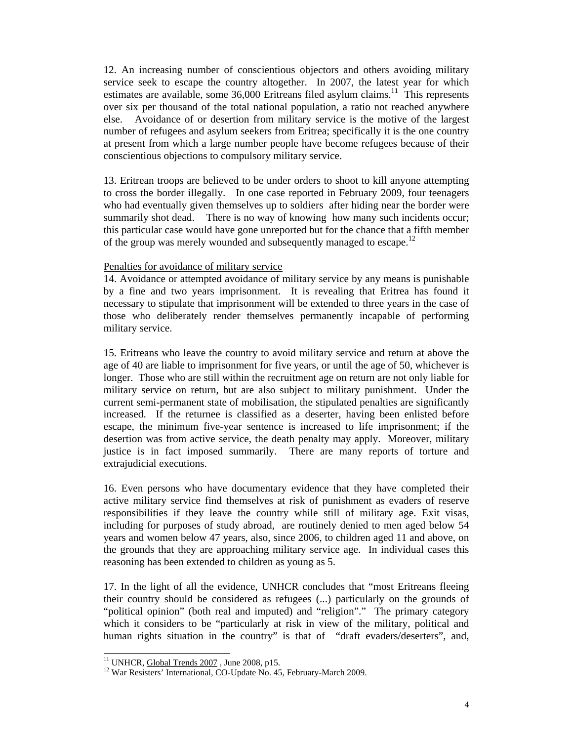12. An increasing number of conscientious objectors and others avoiding military service seek to escape the country altogether. In 2007, the latest year for which estimates are available, some  $36,000$  Eritreans filed asylum claims.<sup>11</sup> This represents over six per thousand of the total national population, a ratio not reached anywhere else. Avoidance of or desertion from military service is the motive of the largest number of refugees and asylum seekers from Eritrea; specifically it is the one country at present from which a large number people have become refugees because of their conscientious objections to compulsory military service.

13. Eritrean troops are believed to be under orders to shoot to kill anyone attempting to cross the border illegally. In one case reported in February 2009, four teenagers who had eventually given themselves up to soldiers after hiding near the border were summarily shot dead. There is no way of knowing how many such incidents occur; this particular case would have gone unreported but for the chance that a fifth member of the group was merely wounded and subsequently managed to escape.<sup>12</sup>

### Penalties for avoidance of military service

14. Avoidance or attempted avoidance of military service by any means is punishable by a fine and two years imprisonment. It is revealing that Eritrea has found it necessary to stipulate that imprisonment will be extended to three years in the case of those who deliberately render themselves permanently incapable of performing military service.

15. Eritreans who leave the country to avoid military service and return at above the age of 40 are liable to imprisonment for five years, or until the age of 50, whichever is longer. Those who are still within the recruitment age on return are not only liable for military service on return, but are also subject to military punishment. Under the current semi-permanent state of mobilisation, the stipulated penalties are significantly increased. If the returnee is classified as a deserter, having been enlisted before escape, the minimum five-year sentence is increased to life imprisonment; if the desertion was from active service, the death penalty may apply. Moreover, military justice is in fact imposed summarily. There are many reports of torture and extrajudicial executions.

16. Even persons who have documentary evidence that they have completed their active military service find themselves at risk of punishment as evaders of reserve responsibilities if they leave the country while still of military age. Exit visas, including for purposes of study abroad, are routinely denied to men aged below 54 years and women below 47 years, also, since 2006, to children aged 11 and above, on the grounds that they are approaching military service age. In individual cases this reasoning has been extended to children as young as 5.

17. In the light of all the evidence, UNHCR concludes that "most Eritreans fleeing their country should be considered as refugees (...) particularly on the grounds of "political opinion" (both real and imputed) and "religion"." The primary category which it considers to be "particularly at risk in view of the military, political and human rights situation in the country" is that of "draft evaders/deserters", and,

 $\overline{a}$ 

<sup>&</sup>lt;sup>11</sup> UNHCR, **Global Trends 2007**, June 2008, p15.<br><sup>12</sup> War Resisters' International, CO-Update No. 45, February-March 2009.